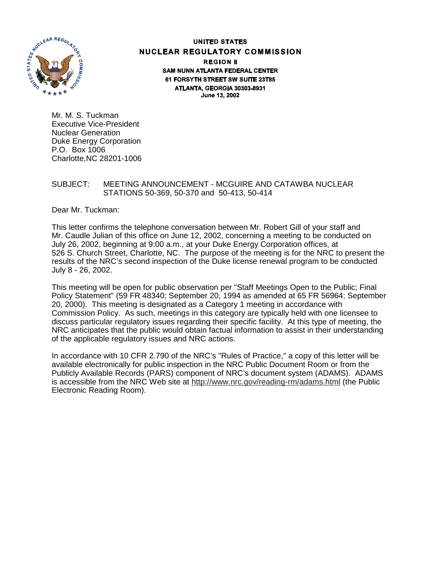

### **UNITED STATES NUCLEAR REGULATORY COMMISSION REGION II SAM NUNN ATLANTA FEDERAL CENTER** 61 FORSYTH STREET SW SUITE 23T85 ATLANTA, GEORGIA 30303-8931 June 13, 2002

Mr. M. S. Tuckman Executive Vice-President Nuclear Generation Duke Energy Corporation P.O. Box 1006 Charlotte,NC 28201-1006

### SUBJECT: MEETING ANNOUNCEMENT - MCGUIRE AND CATAWBA NUCLEAR STATIONS 50-369, 50-370 and 50-413, 50-414

Dear Mr. Tuckman:

This letter confirms the telephone conversation between Mr. Robert Gill of your staff and Mr. Caudle Julian of this office on June 12, 2002, concerning a meeting to be conducted on July 26, 2002, beginning at 9:00 a.m., at your Duke Energy Corporation offices, at 526 S. Church Street, Charlotte, NC. The purpose of the meeting is for the NRC to present the results of the NRC's second inspection of the Duke license renewal program to be conducted July 8 - 26, 2002.

This meeting will be open for public observation per "Staff Meetings Open to the Public; Final Policy Statement" (59 FR 48340; September 20, 1994 as amended at 65 FR 56964; September 20, 2000). This meeting is designated as a Category 1 meeting in accordance with Commission Policy. As such, meetings in this category are typically held with one licensee to discuss particular regulatory issues regarding their specific facility. At this type of meeting, the NRC anticipates that the public would obtain factual information to assist in their understanding of the applicable regulatory issues and NRC actions.

In accordance with 10 CFR 2.790 of the NRC's "Rules of Practice," a copy of this letter will be available electronically for public inspection in the NRC Public Document Room or from the Publicly Available Records (PARS) component of NRC's document system (ADAMS). ADAMS is accessible from the NRC Web site at http://www.nrc.gov/reading-rm/adams.html (the Public Electronic Reading Room).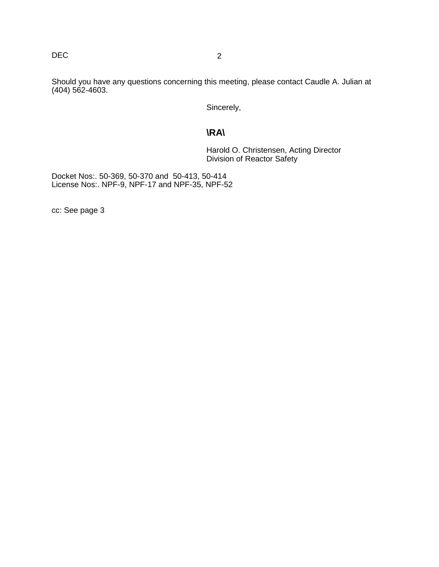# DEC 2

Should you have any questions concerning this meeting, please contact Caudle A. Julian at (404) 562-4603.

Sincerely,

# **\RA\**

Harold O. Christensen, Acting Director Division of Reactor Safety

Docket Nos:. 50-369, 50-370 and 50-413, 50-414 License Nos:. NPF-9, NPF-17 and NPF-35, NPF-52

cc: See page 3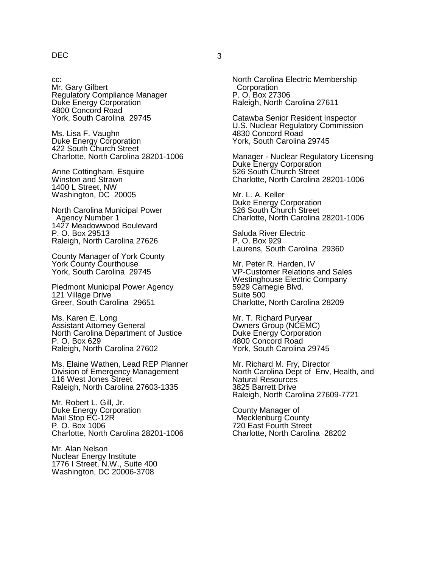## DEC 3

cc:

Mr. Gary Gilbert Regulatory Compliance Manager Duke Energy Corporation 4800 Concord Road York, South Carolina 29745

Ms. Lisa F. Vaughn Duke Energy Corporation 422 South Church Street Charlotte, North Carolina 28201-1006

Anne Cottingham, Esquire Winston and Strawn 1400 L Street, NW Washington, DC 20005

North Carolina Municipal Power Agency Number 1 1427 Meadowwood Boulevard P. O. Box 29513 Raleigh, North Carolina 27626

County Manager of York County York County Courthouse York, South Carolina 29745

Piedmont Municipal Power Agency 121 Village Drive Greer, South Carolina 29651

Ms. Karen E. Long Assistant Attorney General North Carolina Department of Justice P. O. Box 629 Raleigh, North Carolina 27602

Ms. Elaine Wathen, Lead REP Planner Division of Emergency Management 116 West Jones Street Raleigh, North Carolina 27603-1335

Mr. Robert L. Gill, Jr. Duke Energy Corporation Mail Stop EC-12R P. O. Box 1006 Charlotte, North Carolina 28201-1006

Mr. Alan Nelson Nuclear Energy Institute 1776 I Street, N.W., Suite 400 Washington, DC 20006-3708

North Carolina Electric Membership **Corporation** P. O. Box 27306 Raleigh, North Carolina 27611

Catawba Senior Resident Inspector U.S. Nuclear Regulatory Commission 4830 Concord Road York, South Carolina 29745

Manager - Nuclear Regulatory Licensing Duke Energy Corporation 526 South Church Street Charlotte, North Carolina 28201-1006

Mr. L. A. Keller Duke Energy Corporation 526 South Church Street Charlotte, North Carolina 28201-1006

Saluda River Electric P. O. Box 929 Laurens, South Carolina 29360

Mr. Peter R. Harden, IV VP-Customer Relations and Sales Westinghouse Electric Company 5929 Carnegie Blvd. Suite 500 Charlotte, North Carolina 28209

Mr. T. Richard Puryear Owners Group (NCEMC) Duke Energy Corporation 4800 Concord Road York, South Carolina 29745

Mr. Richard M. Fry, Director North Carolina Dept of Env, Health, and Natural Resources 3825 Barrett Drive Raleigh, North Carolina 27609-7721

County Manager of Mecklenburg County 720 East Fourth Street Charlotte, North Carolina 28202